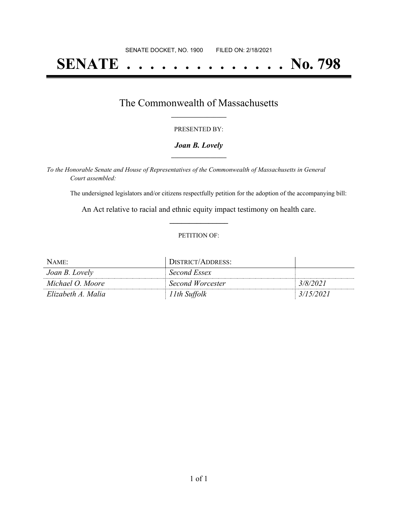# **SENATE . . . . . . . . . . . . . . No. 798**

### The Commonwealth of Massachusetts **\_\_\_\_\_\_\_\_\_\_\_\_\_\_\_\_\_**

#### PRESENTED BY:

#### *Joan B. Lovely* **\_\_\_\_\_\_\_\_\_\_\_\_\_\_\_\_\_**

*To the Honorable Senate and House of Representatives of the Commonwealth of Massachusetts in General Court assembled:*

The undersigned legislators and/or citizens respectfully petition for the adoption of the accompanying bill:

An Act relative to racial and ethnic equity impact testimony on health care. **\_\_\_\_\_\_\_\_\_\_\_\_\_\_\_**

#### PETITION OF:

| NAME:              | DISTRICT/ADDRESS: |           |
|--------------------|-------------------|-----------|
| Joan B. Lovely     | Second Essex      |           |
| Michael O. Moore   | Second Worcester  | 3/8/2021  |
| Elizabeth A. Malia | 11th Suffolk      | 3/15/2021 |